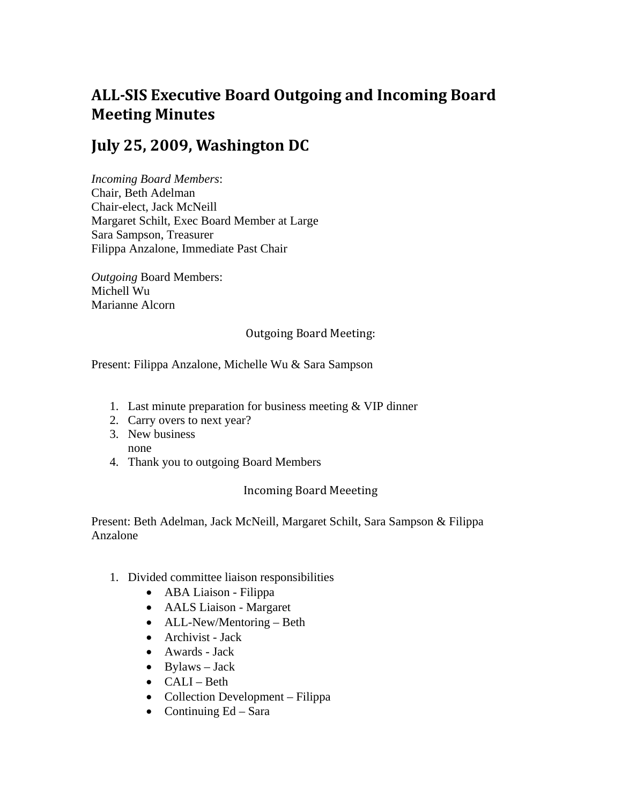# **ALLSIS Executive Board Outgoing and Incoming Board Meeting Minutes**

## **July 25, 2009, Washington DC**

*Incoming Board Members*: Chair, Beth Adelman Chair-elect, Jack McNeill Margaret Schilt, Exec Board Member at Large Sara Sampson, Treasurer Filippa Anzalone, Immediate Past Chair

*Outgoing* Board Members: Michell Wu Marianne Alcorn

#### Outgoing Board Meeting:

#### Present: Filippa Anzalone, Michelle Wu & Sara Sampson

- 1. Last minute preparation for business meeting & VIP dinner
- 2. Carry overs to next year?
- 3. New business none
- 4. Thank you to outgoing Board Members

### Incoming Board Meeeting

Present: Beth Adelman, Jack McNeill, Margaret Schilt, Sara Sampson & Filippa Anzalone

- 1. Divided committee liaison responsibilities
	- ABA Liaison Filippa
	- AALS Liaison Margaret
	- ALL-New/Mentoring Beth
	- Archivist Jack
	- Awards Jack
	- $\bullet$  Bylaws Jack
	- CALI Beth
	- Collection Development Filippa
	- Continuing  $Ed Sara$